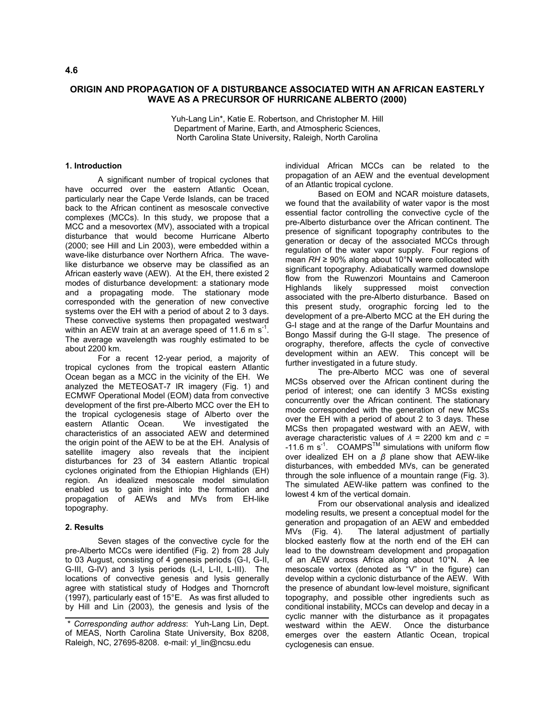# **ORIGIN AND PROPAGATION OF A DISTURBANCE ASSOCIATED WITH AN AFRICAN EASTERLY WAVE AS A PRECURSOR OF HURRICANE ALBERTO (2000)**

Yuh-Lang Lin\*, Katie E. Robertson, and Christopher M. Hill Department of Marine, Earth, and Atmospheric Sciences, North Carolina State University, Raleigh, North Carolina

#### **1. Introduction**

 A significant number of tropical cyclones that have occurred over the eastern Atlantic Ocean, particularly near the Cape Verde Islands, can be traced back to the African continent as mesoscale convective complexes (MCCs). In this study, we propose that a MCC and a mesovortex (MV), associated with a tropical disturbance that would become Hurricane Alberto (2000; see Hill and Lin 2003), were embedded within a wave-like disturbance over Northern Africa. The wavelike disturbance we observe may be classified as an African easterly wave (AEW). At the EH, there existed 2 modes of disturbance development: a stationary mode and a propagating mode. The stationary mode corresponded with the generation of new convective systems over the EH with a period of about 2 to 3 days. These convective systems then propagated westward within an AEW train at an average speed of 11.6 m  $s^{-1}$ . The average wavelength was roughly estimated to be about 2200 km.

 For a recent 12-year period, a majority of tropical cyclones from the tropical eastern Atlantic Ocean began as a MCC in the vicinity of the EH. We analyzed the METEOSAT-7 IR imagery (Fig. 1) and ECMWF Operational Model (EOM) data from convective development of the first pre-Alberto MCC over the EH to the tropical cyclogenesis stage of Alberto over the eastern Atlantic Ocean. We investigated the eastern Atlantic Ocean. characteristics of an associated AEW and determined the origin point of the AEW to be at the EH. Analysis of satellite imagery also reveals that the incipient disturbances for 23 of 34 eastern Atlantic tropical cyclones originated from the Ethiopian Highlands (EH) region. An idealized mesoscale model simulation enabled us to gain insight into the formation and propagation of AEWs and MVs from EH-like topography.

#### **2. Results**

 Seven stages of the convective cycle for the pre-Alberto MCCs were identified (Fig. 2) from 28 July to 03 August, consisting of 4 genesis periods (G-I, G-II, G-III, G-IV) and 3 lysis periods (L-I, L-II, L-III). The locations of convective genesis and lysis generally agree with statistical study of Hodges and Thorncroft (1997), particularly east of 15°E. As was first alluded to by Hill and Lin (2003), the genesis and lysis of the

individual African MCCs can be related to the propagation of an AEW and the eventual development of an Atlantic tropical cyclone.

 Based on EOM and NCAR moisture datasets, we found that the availability of water vapor is the most essential factor controlling the convective cycle of the pre-Alberto disturbance over the African continent. The presence of significant topography contributes to the generation or decay of the associated MCCs through regulation of the water vapor supply. Four regions of mean *RH* ≥ 90% along about 10°N were collocated with significant topography. Adiabatically warmed downslope flow from the Ruwenzori Mountains and Cameroon Highlands likely suppressed moist convection associated with the pre-Alberto disturbance. Based on this present study, orographic forcing led to the development of a pre-Alberto MCC at the EH during the G-I stage and at the range of the Darfur Mountains and Bongo Massif during the G-II stage. The presence of orography, therefore, affects the cycle of convective development within an AEW. This concept will be further investigated in a future study.

 The pre-Alberto MCC was one of several MCSs observed over the African continent during the period of interest; one can identify 3 MCSs existing concurrently over the African continent. The stationary mode corresponded with the generation of new MCSs over the EH with a period of about 2 to 3 days. These MCSs then propagated westward with an AEW, with average characteristic values of *λ* = 2200 km and *c* = -11.6  $\text{m s}^{-1}$ . COAMPS<sup>TM</sup> simulations with uniform flow over idealized EH on a *β* plane show that AEW-like disturbances, with embedded MVs, can be generated through the sole influence of a mountain range (Fig. 3). The simulated AEW-like pattern was confined to the lowest 4 km of the vertical domain.

 From our observational analysis and idealized modeling results, we present a conceptual model for the generation and propagation of an AEW and embedded MVs (Fig. 4). The lateral adjustment of partially blocked easterly flow at the north end of the EH can lead to the downstream development and propagation of an AEW across Africa along about 10°N.A lee mesoscale vortex (denoted as "V" in the figure) can develop within a cyclonic disturbance of the AEW. With the presence of abundant low-level moisture, significant topography, and possible other ingredients such as conditional instability, MCCs can develop and decay in a cyclic manner with the disturbance as it propagates westward within the AEW. Once the disturbance emerges over the eastern Atlantic Ocean, tropical cyclogenesis can ensue.

 <sup>\*</sup> *Corresponding author address*: Yuh-Lang Lin, Dept. of MEAS, North Carolina State University, Box 8208, Raleigh, NC, 27695-8208. e-mail: yl\_lin@ncsu.edu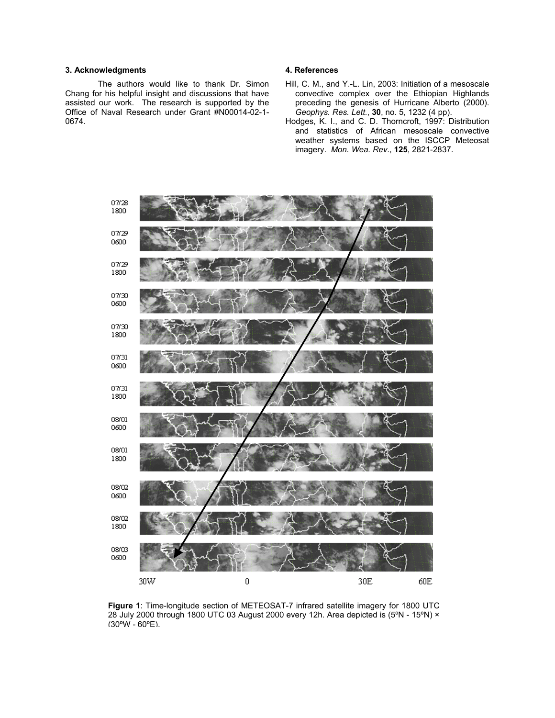### **3. Acknowledgments**

 The authors would like to thank Dr. Simon Chang for his helpful insight and discussions that have assisted our work. The research is supported by the Office of Naval Research under Grant #N00014-02-1- 0674.

## **4. References**

- Hill, C. M., and Y.-L. Lin, 2003: Initiation of a mesoscale convective complex over the Ethiopian Highlands preceding the genesis of Hurricane Alberto (2000). *Geophys. Res. Lett.*, **30**, no. 5, 1232 (4 pp).
- Hodges, K. I., and C. D. Thorncroft, 1997: Distribution and statistics of African mesoscale convective weather systems based on the ISCCP Meteosat imagery. *Mon. Wea. Rev*., **125**, 2821-2837.



**Figure 1**: Time-longitude section of METEOSAT-7 infrared satellite imagery for 1800 UTC 28 July 2000 through 1800 UTC 03 August 2000 every 12h. Area depicted is (5ºN - 15ºN) × (30ºW - 60ºE).